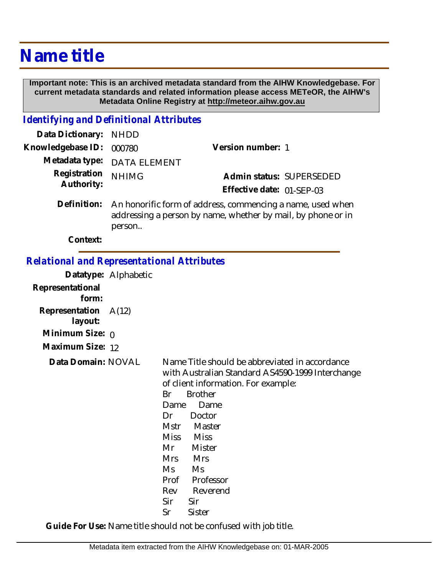## **Name title**

 **Important note: This is an archived metadata standard from the AIHW Knowledgebase. For current metadata standards and related information please access METeOR, the AIHW's Metadata Online Registry at http://meteor.aihw.gov.au**

## *Identifying and Definitional Attributes*

| Data Dictionary: NHDD      |                                                                                                                                      |                                                       |
|----------------------------|--------------------------------------------------------------------------------------------------------------------------------------|-------------------------------------------------------|
| Knowledgebase ID:          | 000780                                                                                                                               | Version number: 1                                     |
|                            | Metadata type: DATA ELEMENT                                                                                                          |                                                       |
| Registration<br>Authority: | <b>NHIMG</b>                                                                                                                         | Admin status: SUPERSEDED<br>Effective date: 01-SEP-03 |
| Definition:                | An honorific form of address, commencing a name, used when<br>addressing a person by name, whether by mail, by phone or in<br>person |                                                       |

**Context:**

## *Relational and Representational Attributes*

|                           | Datatype: Alphabetic |                                                                                                                                                                                                                                                                                                                                                                |
|---------------------------|----------------------|----------------------------------------------------------------------------------------------------------------------------------------------------------------------------------------------------------------------------------------------------------------------------------------------------------------------------------------------------------------|
| Representational<br>form: |                      |                                                                                                                                                                                                                                                                                                                                                                |
| Representation<br>layout: | A(12)                |                                                                                                                                                                                                                                                                                                                                                                |
| Minimum Size: $\rho$      |                      |                                                                                                                                                                                                                                                                                                                                                                |
| Maximum Size: 12          |                      |                                                                                                                                                                                                                                                                                                                                                                |
| Data Domain: NOVAL        |                      | Name Title should be abbreviated in accordance<br>with Australian Standard AS4590-1999 Interchange<br>of client information. For example:<br><b>Brother</b><br>Br<br>Dame<br>Dame<br>Doctor<br>Dr<br>Master<br>Mstr<br>Miss Miss<br>Mr<br>Mister<br><b>Mrs</b><br><b>Mrs</b><br>Ms<br>Ms<br>Professor<br>Prof<br>Reverend<br>Rev<br>Sir<br>Sir<br>Sister<br>Sr |

**Guide For Use:** Name title should not be confused with job title.